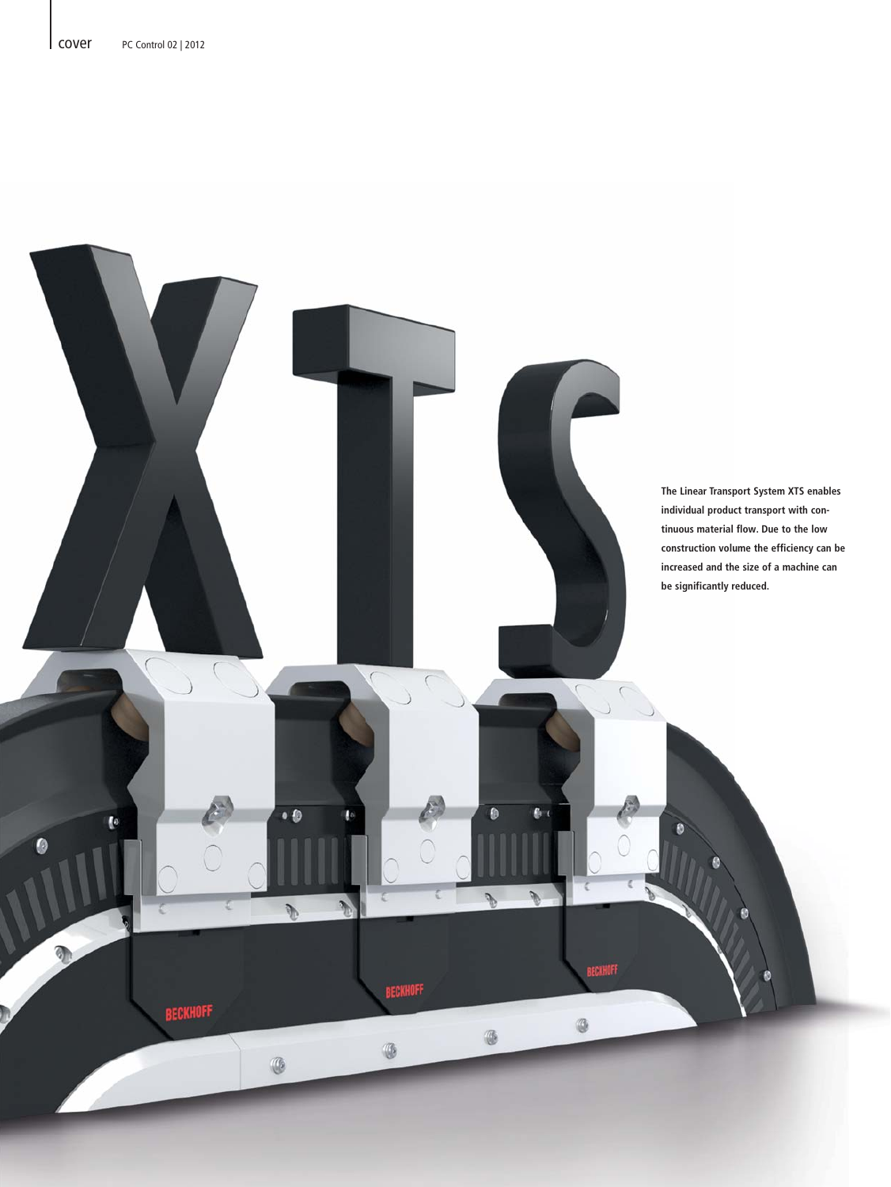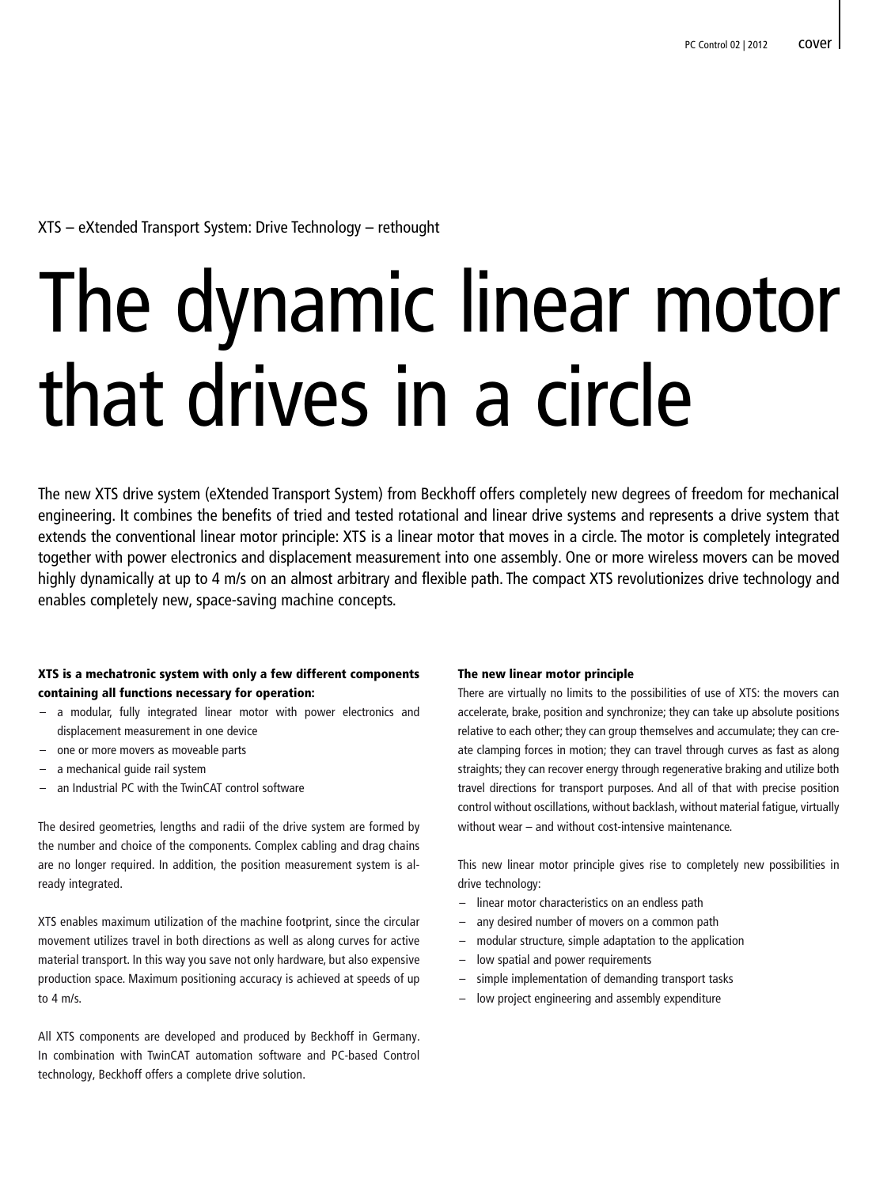#### XTS – eXtended Transport System: Drive Technology – rethought

# The dynamic linear motor that drives in a circle

The new XTS drive system (eXtended Transport System) from Beckhoff offers completely new degrees of freedom for mechanical engineering. It combines the benefits of tried and tested rotational and linear drive systems and represents a drive system that extends the conventional linear motor principle: XTS is a linear motor that moves in a circle. The motor is completely integrated together with power electronics and displacement measurement into one assembly. One or more wireless movers can be moved highly dynamically at up to 4 m/s on an almost arbitrary and flexible path. The compact XTS revolutionizes drive technology and enables completely new, space-saving machine concepts.

#### XTS is a mechatronic system with only a few different components containing all functions necessary for operation:

- a modular, fully integrated linear motor with power electronics and displacement measurement in one device
- one or more movers as moveable parts
- a mechanical quide rail system
- an Industrial PC with the TwinCAT control software

The desired geometries, lengths and radii of the drive system are formed by the number and choice of the components. Complex cabling and drag chains are no longer required. In addition, the position measurement system is already integrated.

XTS enables maximum utilization of the machine footprint, since the circular movement utilizes travel in both directions as well as along curves for active material transport. In this way you save not only hardware, but also expensive production space. Maximum positioning accuracy is achieved at speeds of up to  $4 \text{ m/s}$ 

All XTS components are developed and produced by Beckhoff in Germany. In combination with TwinCAT automation software and PC-based Control technology, Beckhoff offers a complete drive solution.

#### The new linear motor principle

There are virtually no limits to the possibilities of use of XTS: the movers can accelerate, brake, position and synchronize; they can take up absolute positions relative to each other; they can group themselves and accumulate; they can create clamping forces in motion; they can travel through curves as fast as along straights; they can recover energy through regenerative braking and utilize both travel directions for transport purposes. And all of that with precise position control without oscillations, without backlash, without material fatigue, virtually without wear – and without cost-intensive maintenance.

This new linear motor principle gives rise to completely new possibilities in drive technology:

- linear motor characteristics on an endless path
- any desired number of movers on a common path
- modular structure, simple adaptation to the application
- low spatial and power requirements
- simple implementation of demanding transport tasks
- low project engineering and assembly expenditure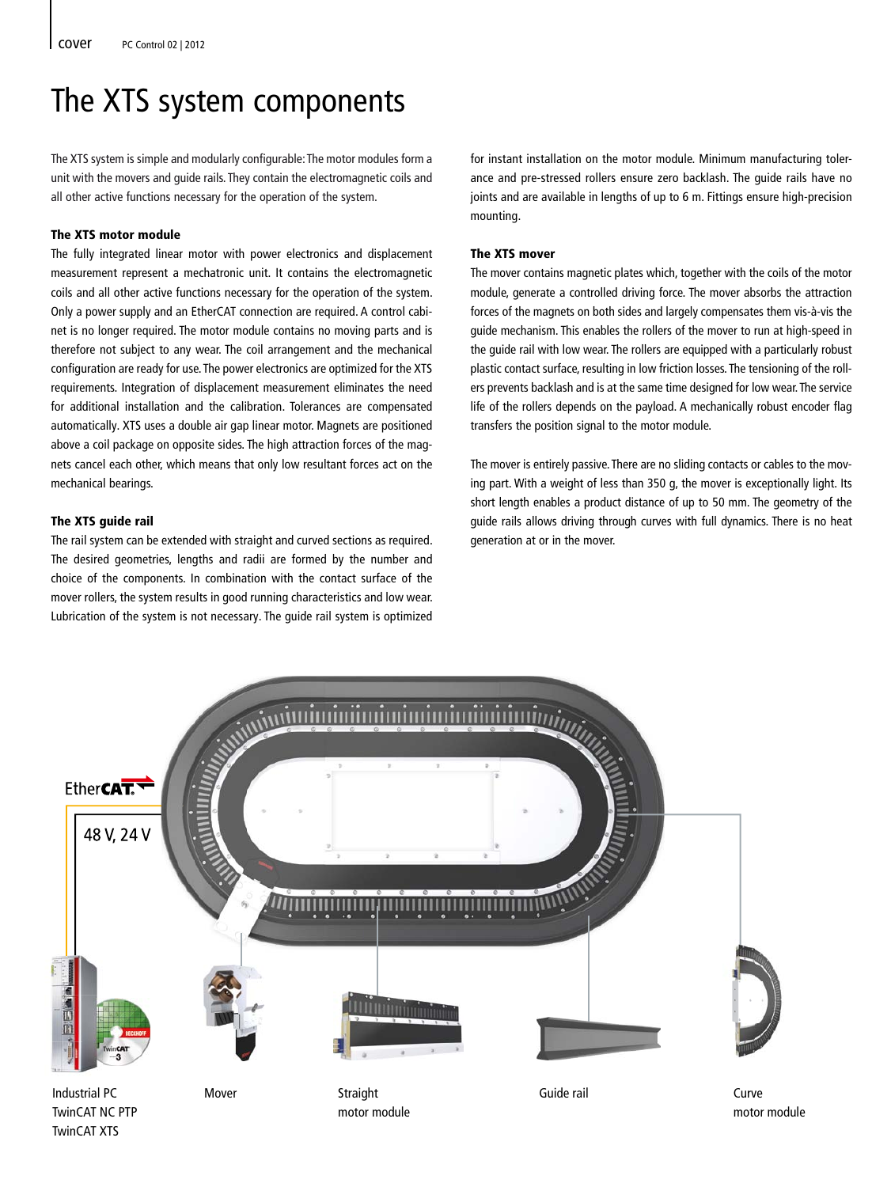## The XTS system components

The XTS system is simple and modularly configurable: The motor modules form a unit with the movers and guide rails. They contain the electromagnetic coils and all other active functions necessary for the operation of the system.

#### The XTS motor module

The fully integrated linear motor with power electronics and displacement measurement represent a mechatronic unit. It contains the electromagnetic coils and all other active functions necessary for the operation of the system. Only a power supply and an EtherCAT connection are required. A control cabinet is no longer required. The motor module contains no moving parts and is therefore not subject to any wear. The coil arrangement and the mechanical configuration are ready for use. The power electronics are optimized for the XTS requirements. Integration of displacement measurement eliminates the need for additional installation and the calibration. Tolerances are compensated automatically. XTS uses a double air gap linear motor. Magnets are positioned above a coil package on opposite sides. The high attraction forces of the magnets cancel each other, which means that only low resultant forces act on the mechanical bearings.

#### The XTS guide rail

The rail system can be extended with straight and curved sections as required. The desired geometries, lengths and radii are formed by the number and choice of the components. In combination with the contact surface of the mover rollers, the system results in good running characteristics and low wear. Lubrication of the system is not necessary. The guide rail system is optimized for instant installation on the motor module. Minimum manufacturing tolerance and pre-stressed rollers ensure zero backlash. The guide rails have no joints and are available in lengths of up to 6 m. Fittings ensure high-precision mounting.

#### The XTS mover

The mover contains magnetic plates which, together with the coils of the motor module, generate a controlled driving force. The mover absorbs the attraction forces of the magnets on both sides and largely compensates them vis-à-vis the guide mechanism. This enables the rollers of the mover to run at high-speed in the guide rail with low wear. The rollers are equipped with a particularly robust plastic contact surface, resulting in low friction losses. The tensioning of the rollers prevents backlash and is at the same time designed for low wear. The service life of the rollers depends on the payload. A mechanically robust encoder flag transfers the position signal to the motor module.

The mover is entirely passive. There are no sliding contacts or cables to the moving part. With a weight of less than 350 g, the mover is exceptionally light. Its short length enables a product distance of up to 50 mm. The geometry of the guide rails allows driving through curves with full dynamics. There is no heat generation at or in the mover.



TwinCAT NC PTP TwinCAT XTS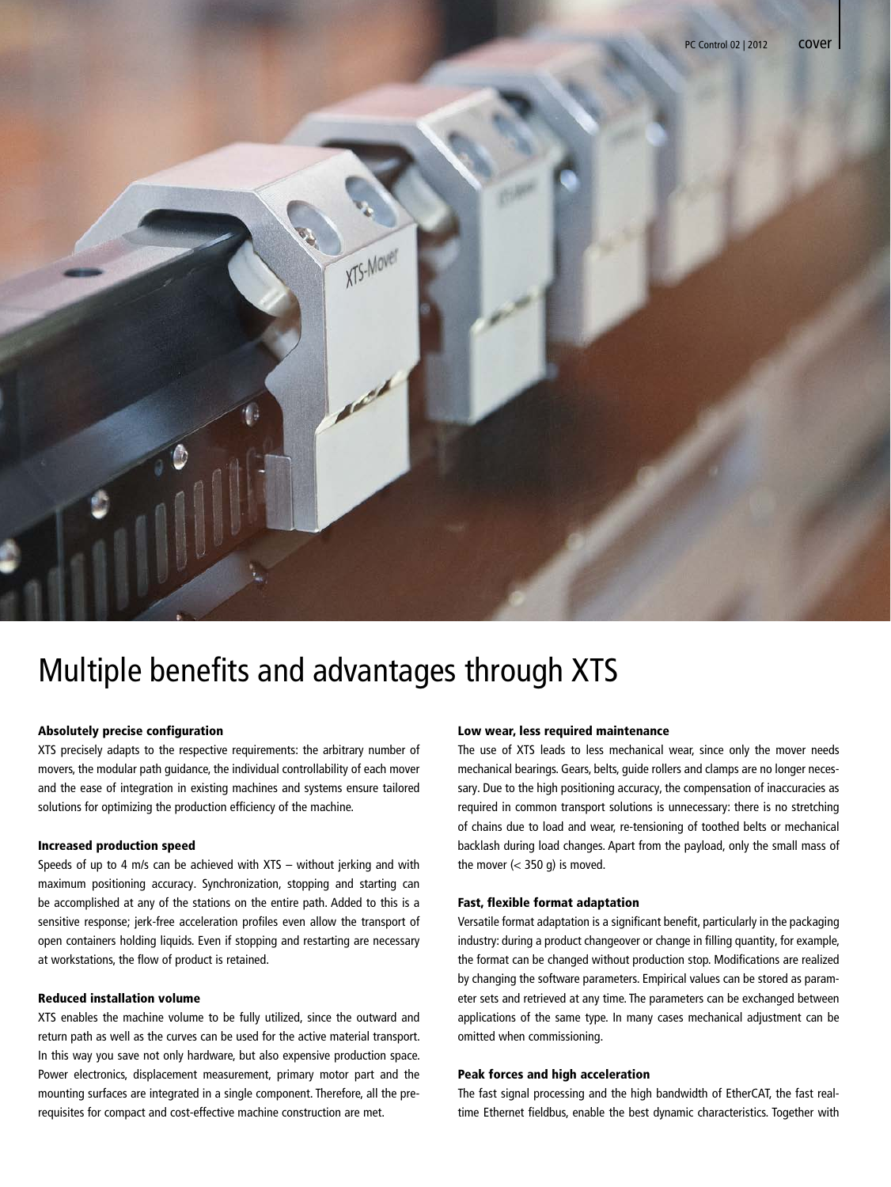

## Multiple benefits and advantages through XTS

XTS-Mover

#### Absolutely precise configuration

XTS precisely adapts to the respective requirements: the arbitrary number of movers, the modular path guidance, the individual controllability of each mover and the ease of integration in existing machines and systems ensure tailored solutions for optimizing the production efficiency of the machine.

#### Increased production speed

Speeds of up to 4 m/s can be achieved with XTS – without jerking and with maximum positioning accuracy. Synchronization, stopping and starting can be accomplished at any of the stations on the entire path. Added to this is a sensitive response; jerk-free acceleration profiles even allow the transport of open containers holding liquids. Even if stopping and restarting are necessary at workstations, the flow of product is retained.

#### Reduced installation volume

XTS enables the machine volume to be fully utilized, since the outward and return path as well as the curves can be used for the active material transport. In this way you save not only hardware, but also expensive production space. Power electronics, displacement measurement, primary motor part and the mounting surfaces are integrated in a single component. Therefore, all the prerequisites for compact and cost-effective machine construction are met.

#### Low wear, less required maintenance

The use of XTS leads to less mechanical wear, since only the mover needs mechanical bearings. Gears, belts, guide rollers and clamps are no longer necessary. Due to the high positioning accuracy, the compensation of inaccuracies as required in common transport solutions is unnecessary: there is no stretching of chains due to load and wear, re-tensioning of toothed belts or mechanical backlash during load changes. Apart from the payload, only the small mass of the mover  $\left($  < 350 g) is moved.

#### Fast, flexible format adaptation

Versatile format adaptation is a significant benefit, particularly in the packaging industry: during a product changeover or change in filling quantity, for example, the format can be changed without production stop. Modifications are realized by changing the software parameters. Empirical values can be stored as parameter sets and retrieved at any time. The parameters can be exchanged between applications of the same type. In many cases mechanical adjustment can be omitted when commissioning.

#### Peak forces and high acceleration

The fast signal processing and the high bandwidth of EtherCAT, the fast realtime Ethernet fieldbus, enable the best dynamic characteristics. Together with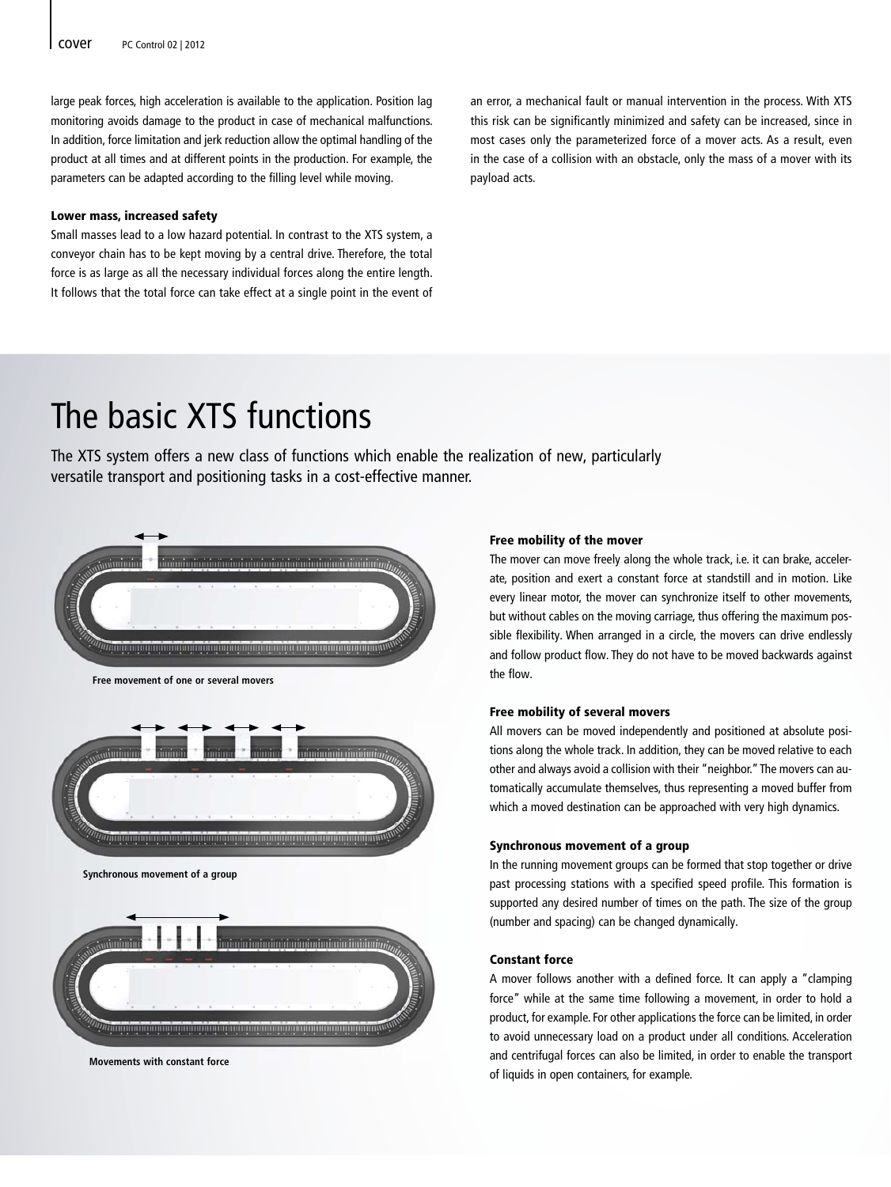large peak forces, high acceleration is available to the application. Position lag monitoring avoids damage to the product in case of mechanical malfunctions. In addition, force limitation and jerk reduction allow the optimal handling of the product at all times and at different points in the production. For example, the parameters can be adapted according to the filling level while moving.

#### Lower mass, increased safety

Small masses lead to a low hazard potential. In contrast to the XTS system, a conveyor chain has to be kept moving by a central drive. Therefore, the total force is as large as all the necessary individual forces along the entire length. It follows that the total force can take effect at a single point in the event of an error, a mechanical fault or manual intervention in the process. With XTS this risk can be significantly minimized and safety can be increased, since in most cases only the parameterized force of a mover acts. As a result, even in the case of a collision with an obstacle, only the mass of a mover with its payload acts.

## The basic XTS functions

The XTS system offers a new class of functions which enable the realization of new, particularly versatile transport and positioning tasks in a cost-effective manner.



**Free movement of one or several movers**



**Synchronous movement of a group**



**Movements with constant force**

#### Free mobility of the mover

The mover can move freely along the whole track, i.e. it can brake, accelerate, position and exert a constant force at standstill and in motion. Like every linear motor, the mover can synchronize itself to other movements, but without cables on the moving carriage, thus offering the maximum possible flexibility. When arranged in a circle, the movers can drive endlessly and follow product flow. They do not have to be moved backwards against the flow.

#### Free mobility of several movers

All movers can be moved independently and positioned at absolute positions along the whole track. In addition, they can be moved relative to each other and always avoid a collision with their "neighbor." The movers can automatically accumulate themselves, thus representing a moved buffer from which a moved destination can be approached with very high dynamics.

#### Synchronous movement of a group

In the running movement groups can be formed that stop together or drive past processing stations with a specified speed profile. This formation is supported any desired number of times on the path. The size of the group (number and spacing) can be changed dynamically.

#### Constant force

A mover follows another with a defined force. It can apply a "clamping force" while at the same time following a movement, in order to hold a product, for example. For other applications the force can be limited, in order to avoid unnecessary load on a product under all conditions. Acceleration and centrifugal forces can also be limited, in order to enable the transport of liquids in open containers, for example.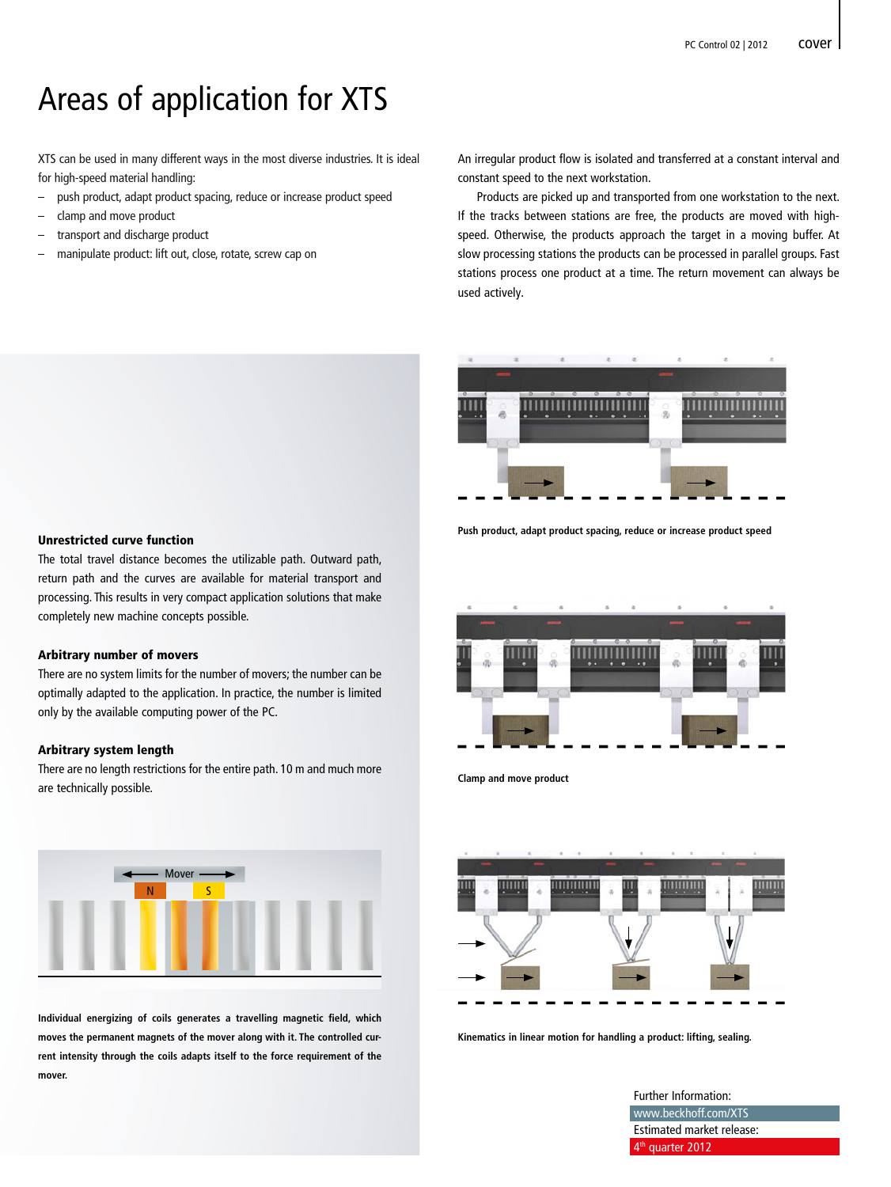### Areas of application for XTS

XTS can be used in many different ways in the most diverse industries. It is ideal for high-speed material handling:

- push product, adapt product spacing, reduce or increase product speed
- clamp and move product
- transport and discharge product
- manipulate product: lift out, close, rotate, screw cap on

An irregular product flow is isolated and transferred at a constant interval and constant speed to the next workstation.

 Products are picked up and transported from one workstation to the next. If the tracks between stations are free, the products are moved with highspeed. Otherwise, the products approach the target in a moving buffer. At slow processing stations the products can be processed in parallel groups. Fast stations process one product at a time. The return movement can always be used actively.



#### **Push product, adapt product spacing, reduce or increase product speed**



**Clamp and move product**



**Kinematics in linear motion for handling a product: lifting, sealing.**

Further Information:

www.beckhoff.com/XTS Estimated market release: 4<sup>th</sup> quarter 2012

#### Unrestricted curve function

The total travel distance becomes the utilizable path. Outward path, return path and the curves are available for material transport and processing. This results in very compact application solutions that make completely new machine concepts possible.

#### Arbitrary number of movers

There are no system limits for the number of movers; the number can be optimally adapted to the application. In practice, the number is limited only by the available computing power of the PC.

#### Arbitrary system length

There are no length restrictions for the entire path. 10 m and much more are technically possible.



Individual energizing of coils generates a travelling magnetic field, which **moves the permanent magnets of the mover along with it. The controlled current intensity through the coils adapts itself to the force requirement of the mover.**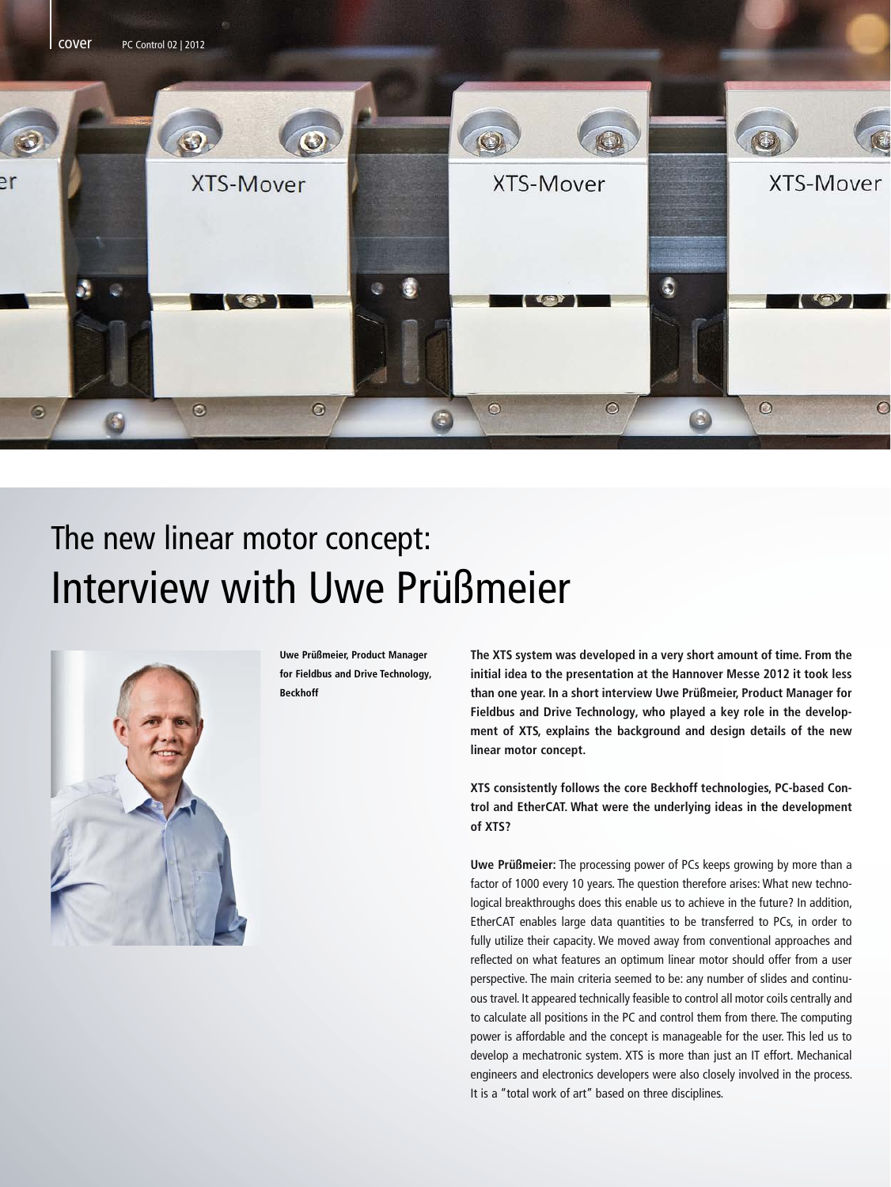

## The new linear motor concept: Interview with Uwe Prüßmeier



**Uwe Prüßmeier, Product Manager for Fieldbus and Drive Technology, Beckhoff**

**The XTS system was developed in a very short amount of time. From the initial idea to the presentation at the Hannover Messe 2012 it took less than one year. In a short interview Uwe Prüßmeier, Product Manager for Fieldbus and Drive Technology, who played a key role in the development of XTS, explains the background and design details of the new linear motor concept.**

**XTS consistently follows the core Beckhoff technologies, PC-based Control and EtherCAT. What were the underlying ideas in the development of XTS?**

**Uwe Prüßmeier:** The processing power of PCs keeps growing by more than a factor of 1000 every 10 years. The question therefore arises: What new technological breakthroughs does this enable us to achieve in the future? In addition, EtherCAT enables large data quantities to be transferred to PCs, in order to fully utilize their capacity. We moved away from conventional approaches and reflected on what features an optimum linear motor should offer from a user perspective. The main criteria seemed to be: any number of slides and continuous travel. It appeared technically feasible to control all motor coils centrally and to calculate all positions in the PC and control them from there. The computing power is affordable and the concept is manageable for the user. This led us to develop a mechatronic system. XTS is more than just an IT effort. Mechanical engineers and electronics developers were also closely involved in the process. It is a "total work of art" based on three disciplines.